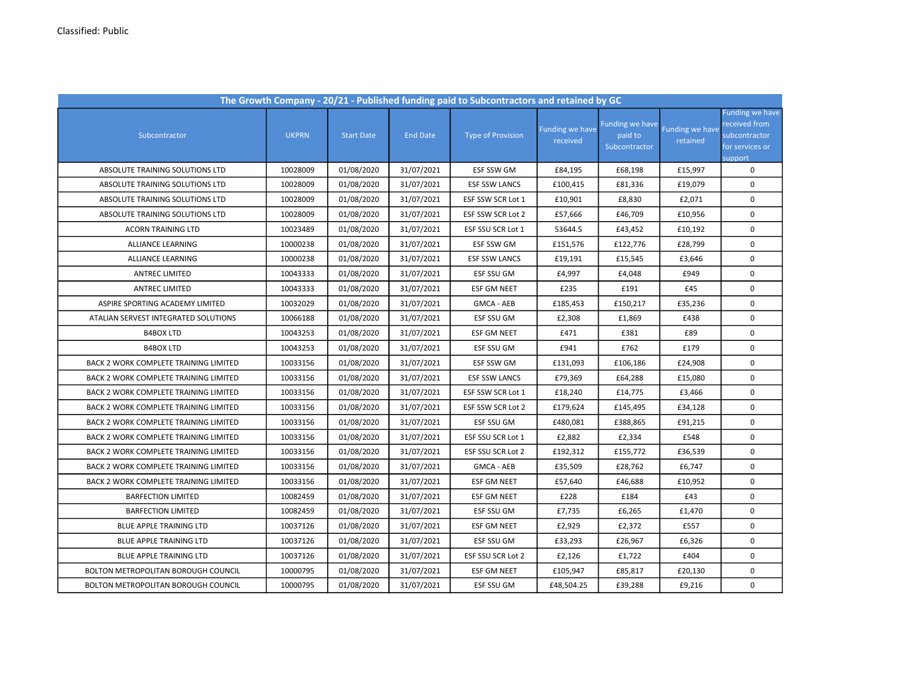| The Growth Company - 20/21 - Published funding paid to Subcontractors and retained by GC |              |                   |                 |                          |                             |                                             |                             |                                                                                        |  |
|------------------------------------------------------------------------------------------|--------------|-------------------|-----------------|--------------------------|-----------------------------|---------------------------------------------|-----------------------------|----------------------------------------------------------------------------------------|--|
| Subcontractor                                                                            | <b>UKPRN</b> | <b>Start Date</b> | <b>End Date</b> | <b>Type of Provision</b> | Funding we have<br>received | Funding we have<br>paid to<br>Subcontractor | Funding we have<br>retained | <b>Funding we have</b><br>received from<br>subcontractor<br>for services or<br>support |  |
| ABSOLUTE TRAINING SOLUTIONS LTD                                                          | 10028009     | 01/08/2020        | 31/07/2021      | ESF SSW GM               | £84,195                     | £68,198                                     | £15,997                     | 0                                                                                      |  |
| ABSOLUTE TRAINING SOLUTIONS LTD                                                          | 10028009     | 01/08/2020        | 31/07/2021      | <b>ESF SSW LANCS</b>     | £100,415                    | £81,336                                     | £19,079                     | $\mathbf 0$                                                                            |  |
| ABSOLUTE TRAINING SOLUTIONS LTD                                                          | 10028009     | 01/08/2020        | 31/07/2021      | ESF SSW SCR Lot 1        | £10,901                     | £8,830                                      | £2,071                      | 0                                                                                      |  |
| ABSOLUTE TRAINING SOLUTIONS LTD                                                          | 10028009     | 01/08/2020        | 31/07/2021      | ESF SSW SCR Lot 2        | £57,666                     | £46,709                                     | £10,956                     | 0                                                                                      |  |
| <b>ACORN TRAINING LTD</b>                                                                | 10023489     | 01/08/2020        | 31/07/2021      | ESF SSU SCR Lot 1        | 53644.5                     | £43,452                                     | £10,192                     | 0                                                                                      |  |
| ALLIANCE LEARNING                                                                        | 10000238     | 01/08/2020        | 31/07/2021      | ESF SSW GM               | £151,576                    | £122,776                                    | £28,799                     | $\mathbf 0$                                                                            |  |
| ALLIANCE LEARNING                                                                        | 10000238     | 01/08/2020        | 31/07/2021      | <b>ESF SSW LANCS</b>     | £19,191                     | £15,545                                     | £3,646                      | $\mathbf 0$                                                                            |  |
| <b>ANTREC LIMITED</b>                                                                    | 10043333     | 01/08/2020        | 31/07/2021      | ESF SSU GM               | £4,997                      | £4,048                                      | £949                        | $\mathbf 0$                                                                            |  |
| <b>ANTREC LIMITED</b>                                                                    | 10043333     | 01/08/2020        | 31/07/2021      | <b>ESF GM NEET</b>       | £235                        | £191                                        | £45                         | 0                                                                                      |  |
| ASPIRE SPORTING ACADEMY LIMITED                                                          | 10032029     | 01/08/2020        | 31/07/2021      | GMCA - AEB               | £185,453                    | £150,217                                    | £35,236                     | 0                                                                                      |  |
| ATALIAN SERVEST INTEGRATED SOLUTIONS                                                     | 10066188     | 01/08/2020        | 31/07/2021      | ESF SSU GM               | £2,308                      | £1,869                                      | £438                        | 0                                                                                      |  |
| <b>B4BOX LTD</b>                                                                         | 10043253     | 01/08/2020        | 31/07/2021      | <b>ESF GM NEET</b>       | £471                        | £381                                        | £89                         | 0                                                                                      |  |
| <b>B4BOX LTD</b>                                                                         | 10043253     | 01/08/2020        | 31/07/2021      | ESF SSU GM               | £941                        | £762                                        | £179                        | 0                                                                                      |  |
| BACK 2 WORK COMPLETE TRAINING LIMITED                                                    | 10033156     | 01/08/2020        | 31/07/2021      | ESF SSW GM               | £131,093                    | £106,186                                    | £24,908                     | $\pmb{0}$                                                                              |  |
| <b>BACK 2 WORK COMPLETE TRAINING LIMITED</b>                                             | 10033156     | 01/08/2020        | 31/07/2021      | <b>ESF SSW LANCS</b>     | £79,369                     | £64,288                                     | £15,080                     | 0                                                                                      |  |
| <b>BACK 2 WORK COMPLETE TRAINING LIMITED</b>                                             | 10033156     | 01/08/2020        | 31/07/2021      | ESF SSW SCR Lot 1        | £18,240                     | £14,775                                     | £3,466                      | $\mathbf 0$                                                                            |  |
| BACK 2 WORK COMPLETE TRAINING LIMITED                                                    | 10033156     | 01/08/2020        | 31/07/2021      | ESF SSW SCR Lot 2        | £179,624                    | £145,495                                    | £34,128                     | 0                                                                                      |  |
| <b>BACK 2 WORK COMPLETE TRAINING LIMITED</b>                                             | 10033156     | 01/08/2020        | 31/07/2021      | ESF SSU GM               | £480,081                    | £388,865                                    | £91,215                     | 0                                                                                      |  |
| BACK 2 WORK COMPLETE TRAINING LIMITED                                                    | 10033156     | 01/08/2020        | 31/07/2021      | ESF SSU SCR Lot 1        | £2,882                      | £2,334                                      | £548                        | 0                                                                                      |  |
| BACK 2 WORK COMPLETE TRAINING LIMITED                                                    | 10033156     | 01/08/2020        | 31/07/2021      | ESF SSU SCR Lot 2        | £192,312                    | £155,772                                    | £36,539                     | 0                                                                                      |  |
| BACK 2 WORK COMPLETE TRAINING LIMITED                                                    | 10033156     | 01/08/2020        | 31/07/2021      | GMCA - AEB               | £35,509                     | £28,762                                     | £6,747                      | 0                                                                                      |  |
| BACK 2 WORK COMPLETE TRAINING LIMITED                                                    | 10033156     | 01/08/2020        | 31/07/2021      | <b>ESF GM NEET</b>       | £57,640                     | £46,688                                     | £10,952                     | $\pmb{0}$                                                                              |  |
| <b>BARFECTION LIMITED</b>                                                                | 10082459     | 01/08/2020        | 31/07/2021      | <b>ESF GM NEET</b>       | £228                        | £184                                        | £43                         | $\mathbf 0$                                                                            |  |
| <b>BARFECTION LIMITED</b>                                                                | 10082459     | 01/08/2020        | 31/07/2021      | ESF SSU GM               | £7,735                      | £6,265                                      | £1,470                      | $\mathbf 0$                                                                            |  |
| BLUE APPLE TRAINING LTD                                                                  | 10037126     | 01/08/2020        | 31/07/2021      | ESF GM NEET              | £2,929                      | £2,372                                      | £557                        | 0                                                                                      |  |
| BLUE APPLE TRAINING LTD                                                                  | 10037126     | 01/08/2020        | 31/07/2021      | ESF SSU GM               | £33,293                     | £26,967                                     | £6,326                      | $\mathbf 0$                                                                            |  |
| BLUE APPLE TRAINING LTD                                                                  | 10037126     | 01/08/2020        | 31/07/2021      | ESF SSU SCR Lot 2        | £2,126                      | £1,722                                      | £404                        | $\mathbf 0$                                                                            |  |
| BOLTON METROPOLITAN BOROUGH COUNCIL                                                      | 10000795     | 01/08/2020        | 31/07/2021      | <b>ESF GM NEET</b>       | £105,947                    | £85,817                                     | £20,130                     | 0                                                                                      |  |
| BOLTON METROPOLITAN BOROUGH COUNCIL                                                      | 10000795     | 01/08/2020        | 31/07/2021      | ESF SSU GM               | £48,504.25                  | £39,288                                     | £9,216                      | 0                                                                                      |  |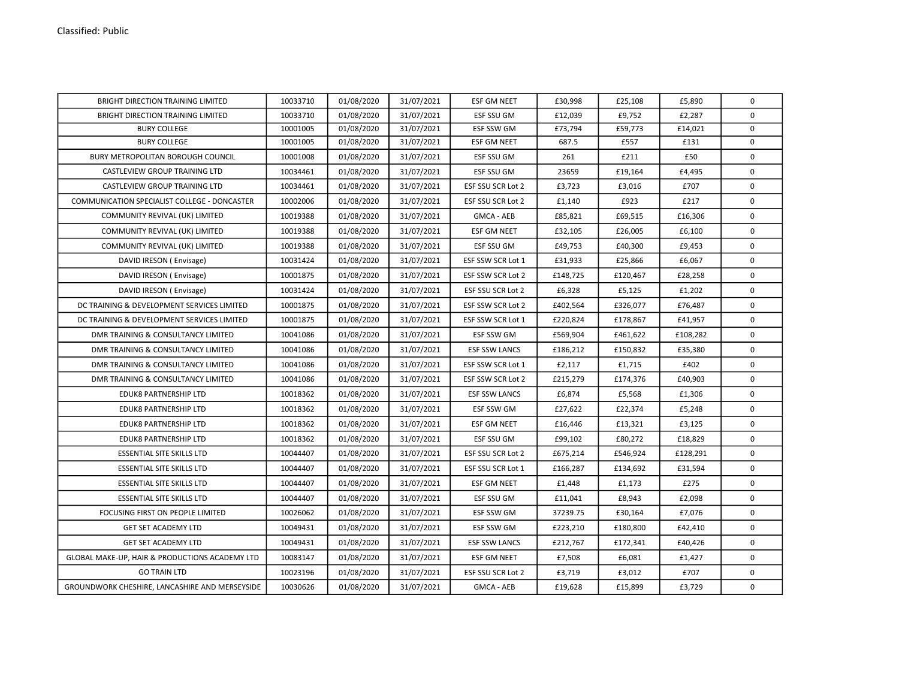| BRIGHT DIRECTION TRAINING LIMITED              | 10033710 | 01/08/2020 | 31/07/2021 | <b>ESF GM NEET</b>   | £30,998  | £25,108  | £5,890   | $\mathbf 0$  |
|------------------------------------------------|----------|------------|------------|----------------------|----------|----------|----------|--------------|
| BRIGHT DIRECTION TRAINING LIMITED              | 10033710 | 01/08/2020 | 31/07/2021 | ESF SSU GM           | £12,039  | £9,752   | £2,287   | $\mathbf 0$  |
| <b>BURY COLLEGE</b>                            | 10001005 | 01/08/2020 | 31/07/2021 | ESF SSW GM           | £73,794  | £59,773  | £14,021  | $\mathbf 0$  |
| <b>BURY COLLEGE</b>                            | 10001005 | 01/08/2020 | 31/07/2021 | ESF GM NEET          | 687.5    | £557     | £131     | $\mathbf 0$  |
| BURY METROPOLITAN BOROUGH COUNCIL              | 10001008 | 01/08/2020 | 31/07/2021 | ESF SSU GM           | 261      | £211     | £50      | $\mathbf 0$  |
| CASTLEVIEW GROUP TRAINING LTD                  | 10034461 | 01/08/2020 | 31/07/2021 | ESF SSU GM           | 23659    | £19,164  | £4,495   | 0            |
| CASTLEVIEW GROUP TRAINING LTD                  | 10034461 | 01/08/2020 | 31/07/2021 | ESF SSU SCR Lot 2    | £3,723   | £3,016   | £707     | 0            |
| COMMUNICATION SPECIALIST COLLEGE - DONCASTER   | 10002006 | 01/08/2020 | 31/07/2021 | ESF SSU SCR Lot 2    | £1,140   | £923     | £217     | $\mathbf 0$  |
| COMMUNITY REVIVAL (UK) LIMITED                 | 10019388 | 01/08/2020 | 31/07/2021 | <b>GMCA - AEB</b>    | £85,821  | £69,515  | £16,306  | 0            |
| COMMUNITY REVIVAL (UK) LIMITED                 | 10019388 | 01/08/2020 | 31/07/2021 | ESF GM NEET          | £32,105  | £26,005  | £6,100   | 0            |
| COMMUNITY REVIVAL (UK) LIMITED                 | 10019388 | 01/08/2020 | 31/07/2021 | ESF SSU GM           | £49,753  | £40,300  | £9,453   | 0            |
| DAVID IRESON (Envisage)                        | 10031424 | 01/08/2020 | 31/07/2021 | ESF SSW SCR Lot 1    | £31,933  | £25,866  | £6,067   | $\mathbf 0$  |
| DAVID IRESON (Envisage)                        | 10001875 | 01/08/2020 | 31/07/2021 | ESF SSW SCR Lot 2    | £148,725 | £120,467 | £28,258  | $\mathbf 0$  |
| DAVID IRESON (Envisage)                        | 10031424 | 01/08/2020 | 31/07/2021 | ESF SSU SCR Lot 2    | £6,328   | £5,125   | £1,202   | $\mathbf 0$  |
| DC TRAINING & DEVELOPMENT SERVICES LIMITED     | 10001875 | 01/08/2020 | 31/07/2021 | ESF SSW SCR Lot 2    | £402,564 | £326,077 | £76,487  | 0            |
| DC TRAINING & DEVELOPMENT SERVICES LIMITED     | 10001875 | 01/08/2020 | 31/07/2021 | ESF SSW SCR Lot 1    | £220,824 | £178,867 | £41,957  | 0            |
| DMR TRAINING & CONSULTANCY LIMITED             | 10041086 | 01/08/2020 | 31/07/2021 | ESF SSW GM           | £569,904 | £461,622 | £108,282 | 0            |
| DMR TRAINING & CONSULTANCY LIMITED             | 10041086 | 01/08/2020 | 31/07/2021 | <b>ESF SSW LANCS</b> | £186,212 | £150,832 | £35,380  | 0            |
| DMR TRAINING & CONSULTANCY LIMITED             | 10041086 | 01/08/2020 | 31/07/2021 | ESF SSW SCR Lot 1    | £2,117   | £1,715   | £402     | 0            |
| DMR TRAINING & CONSULTANCY LIMITED             | 10041086 | 01/08/2020 | 31/07/2021 | ESF SSW SCR Lot 2    | £215,279 | £174,376 | £40,903  | $\mathbf 0$  |
| EDUK8 PARTNERSHIP LTD                          | 10018362 | 01/08/2020 | 31/07/2021 | <b>ESF SSW LANCS</b> | £6,874   | £5,568   | £1,306   | $\mathsf{o}$ |
| EDUK8 PARTNERSHIP LTD                          | 10018362 | 01/08/2020 | 31/07/2021 | ESF SSW GM           | £27,622  | £22,374  | £5,248   | 0            |
| <b>EDUK8 PARTNERSHIP LTD</b>                   | 10018362 | 01/08/2020 | 31/07/2021 | <b>ESF GM NEET</b>   | £16,446  | £13,321  | £3,125   | $\mathbf 0$  |
| EDUK8 PARTNERSHIP LTD                          | 10018362 | 01/08/2020 | 31/07/2021 | ESF SSU GM           | £99,102  | £80,272  | £18,829  | $\mathbf 0$  |
| <b>ESSENTIAL SITE SKILLS LTD</b>               | 10044407 | 01/08/2020 | 31/07/2021 | ESF SSU SCR Lot 2    | £675,214 | £546,924 | £128,291 | $\mathbf 0$  |
| <b>ESSENTIAL SITE SKILLS LTD</b>               | 10044407 | 01/08/2020 | 31/07/2021 | ESF SSU SCR Lot 1    | £166,287 | £134,692 | £31,594  | 0            |
| <b>ESSENTIAL SITE SKILLS LTD</b>               | 10044407 | 01/08/2020 | 31/07/2021 | ESF GM NEET          | £1,448   | £1,173   | £275     | $\mathbf 0$  |
| <b>ESSENTIAL SITE SKILLS LTD</b>               | 10044407 | 01/08/2020 | 31/07/2021 | ESF SSU GM           | £11,041  | £8,943   | £2,098   | $\mathbf 0$  |
| FOCUSING FIRST ON PEOPLE LIMITED               | 10026062 | 01/08/2020 | 31/07/2021 | ESF SSW GM           | 37239.75 | £30,164  | £7,076   | $\mathbf 0$  |
| GET SET ACADEMY LTD                            | 10049431 | 01/08/2020 | 31/07/2021 | ESF SSW GM           | £223,210 | £180,800 | £42,410  | 0            |
| <b>GET SET ACADEMY LTD</b>                     | 10049431 | 01/08/2020 | 31/07/2021 | <b>ESF SSW LANCS</b> | £212,767 | £172,341 | £40,426  | $\mathsf{o}$ |
| GLOBAL MAKE-UP, HAIR & PRODUCTIONS ACADEMY LTD | 10083147 | 01/08/2020 | 31/07/2021 | ESF GM NEET          | £7,508   | £6,081   | £1,427   | 0            |
| <b>GO TRAIN LTD</b>                            | 10023196 | 01/08/2020 | 31/07/2021 | ESF SSU SCR Lot 2    | £3,719   | £3,012   | £707     | 0            |
| GROUNDWORK CHESHIRE, LANCASHIRE AND MERSEYSIDE | 10030626 | 01/08/2020 | 31/07/2021 | GMCA - AEB           | £19,628  | £15,899  | £3,729   | 0            |
|                                                |          |            |            |                      |          |          |          |              |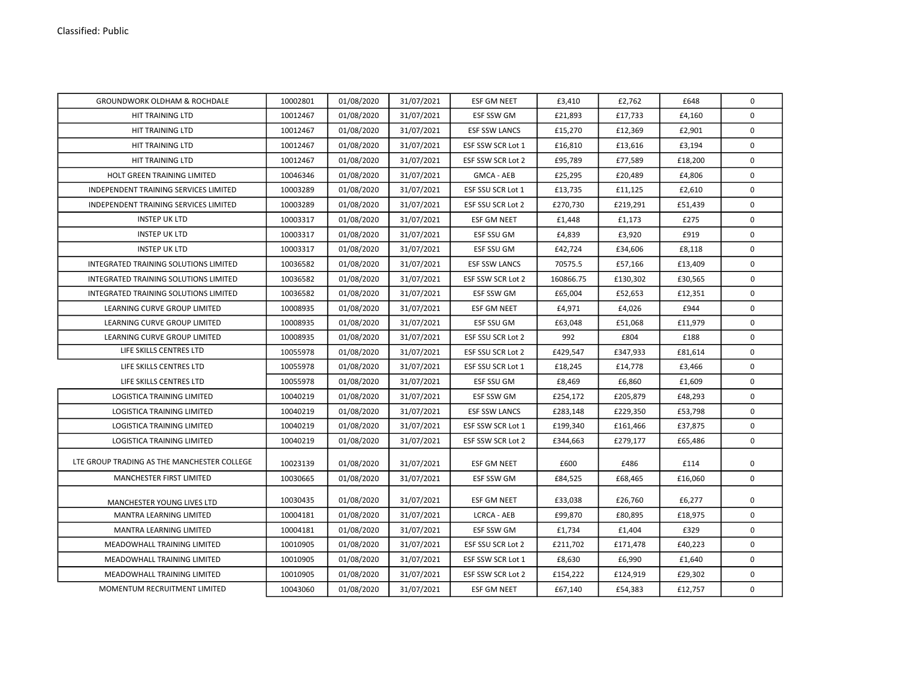| <b>GROUNDWORK OLDHAM &amp; ROCHDALE</b>     | 10002801 | 01/08/2020 | 31/07/2021 | <b>ESF GM NEET</b>   | £3,410    | £2,762   | £648    | $\mathbf 0$ |
|---------------------------------------------|----------|------------|------------|----------------------|-----------|----------|---------|-------------|
| HIT TRAINING LTD                            | 10012467 | 01/08/2020 | 31/07/2021 | ESF SSW GM           | £21,893   | £17,733  | £4,160  | 0           |
| HIT TRAINING LTD                            | 10012467 | 01/08/2020 | 31/07/2021 | <b>ESF SSW LANCS</b> | £15,270   | £12,369  | £2,901  | $\mathbf 0$ |
| <b>HIT TRAINING LTD</b>                     | 10012467 | 01/08/2020 | 31/07/2021 | ESF SSW SCR Lot 1    | £16,810   | £13,616  | £3,194  | $\mathbf 0$ |
| <b>HIT TRAINING LTD</b>                     | 10012467 | 01/08/2020 | 31/07/2021 | ESF SSW SCR Lot 2    | £95,789   | £77,589  | £18,200 | $\Omega$    |
| <b>HOLT GREEN TRAINING LIMITED</b>          | 10046346 | 01/08/2020 | 31/07/2021 | <b>GMCA - AEB</b>    | £25,295   | £20,489  | £4,806  | $\Omega$    |
| INDEPENDENT TRAINING SERVICES LIMITED       | 10003289 | 01/08/2020 | 31/07/2021 | ESF SSU SCR Lot 1    | £13,735   | £11,125  | £2,610  | $\mathbf 0$ |
| INDEPENDENT TRAINING SERVICES LIMITED       | 10003289 | 01/08/2020 | 31/07/2021 | ESF SSU SCR Lot 2    | £270,730  | £219,291 | £51,439 | $\mathbf 0$ |
| <b>INSTEP UK LTD</b>                        | 10003317 | 01/08/2020 | 31/07/2021 | <b>ESF GM NEET</b>   | £1,448    | £1,173   | £275    | $\Omega$    |
| <b>INSTEP UK LTD</b>                        | 10003317 | 01/08/2020 | 31/07/2021 | <b>ESF SSU GM</b>    | £4,839    | £3,920   | £919    | $\Omega$    |
| <b>INSTEP UK LTD</b>                        | 10003317 | 01/08/2020 | 31/07/2021 | <b>ESF SSU GM</b>    | £42,724   | £34,606  | £8,118  | $\Omega$    |
| INTEGRATED TRAINING SOLUTIONS LIMITED       | 10036582 | 01/08/2020 | 31/07/2021 | <b>ESF SSW LANCS</b> | 70575.5   | £57,166  | £13,409 | 0           |
| INTEGRATED TRAINING SOLUTIONS LIMITED       | 10036582 | 01/08/2020 | 31/07/2021 | ESF SSW SCR Lot 2    | 160866.75 | £130,302 | £30,565 | $\mathbf 0$ |
| INTEGRATED TRAINING SOLUTIONS LIMITED       | 10036582 | 01/08/2020 | 31/07/2021 | ESF SSW GM           | £65,004   | £52,653  | £12,351 | 0           |
| LEARNING CURVE GROUP LIMITED                | 10008935 | 01/08/2020 | 31/07/2021 | <b>ESF GM NEET</b>   | £4,971    | £4,026   | £944    | $\mathbf 0$ |
| LEARNING CURVE GROUP LIMITED                | 10008935 | 01/08/2020 | 31/07/2021 | ESF SSU GM           | £63,048   | £51,068  | £11,979 | $\mathbf 0$ |
| LEARNING CURVE GROUP LIMITED                | 10008935 | 01/08/2020 | 31/07/2021 | ESF SSU SCR Lot 2    | 992       | £804     | £188    | $\Omega$    |
| LIFE SKILLS CENTRES LTD                     | 10055978 | 01/08/2020 | 31/07/2021 | ESF SSU SCR Lot 2    | £429,547  | £347,933 | £81,614 | $\mathbf 0$ |
| LIFE SKILLS CENTRES LTD                     | 10055978 | 01/08/2020 | 31/07/2021 | ESF SSU SCR Lot 1    | £18,245   | £14,778  | £3,466  | $\Omega$    |
| LIFE SKILLS CENTRES LTD                     | 10055978 | 01/08/2020 | 31/07/2021 | <b>ESF SSU GM</b>    | £8,469    | £6,860   | £1,609  | $\Omega$    |
| <b>LOGISTICA TRAINING LIMITED</b>           | 10040219 | 01/08/2020 | 31/07/2021 | ESF SSW GM           | £254,172  | £205,879 | £48,293 | $\mathbf 0$ |
| LOGISTICA TRAINING LIMITED                  | 10040219 | 01/08/2020 | 31/07/2021 | <b>ESF SSW LANCS</b> | £283,148  | £229,350 | £53,798 | $\Omega$    |
| LOGISTICA TRAINING LIMITED                  | 10040219 | 01/08/2020 | 31/07/2021 | ESF SSW SCR Lot 1    | £199,340  | £161,466 | £37,875 | $\mathbf 0$ |
| LOGISTICA TRAINING LIMITED                  | 10040219 | 01/08/2020 | 31/07/2021 | ESF SSW SCR Lot 2    | £344,663  | £279,177 | £65,486 | $\mathbf 0$ |
| LTE GROUP TRADING AS THE MANCHESTER COLLEGE | 10023139 | 01/08/2020 | 31/07/2021 | ESF GM NEET          | £600      | £486     | £114    | 0           |
| MANCHESTER FIRST LIMITED                    | 10030665 | 01/08/2020 | 31/07/2021 | ESF SSW GM           | £84,525   | £68,465  | £16,060 | $\mathbf 0$ |
| MANCHESTER YOUNG LIVES LTD                  | 10030435 | 01/08/2020 | 31/07/2021 | <b>ESF GM NEET</b>   | £33,038   | £26,760  | £6,277  | $\Omega$    |
| MANTRA LEARNING LIMITED                     | 10004181 | 01/08/2020 | 31/07/2021 | <b>LCRCA - AEB</b>   | £99,870   | £80,895  | £18,975 | $\Omega$    |
| <b>MANTRA LEARNING LIMITED</b>              | 10004181 | 01/08/2020 | 31/07/2021 | <b>ESF SSW GM</b>    | £1,734    | £1,404   | £329    | $\Omega$    |
| MEADOWHALL TRAINING LIMITED                 | 10010905 | 01/08/2020 | 31/07/2021 | ESF SSU SCR Lot 2    | £211,702  | £171,478 | £40,223 | $\mathbf 0$ |
| MEADOWHALL TRAINING LIMITED                 | 10010905 | 01/08/2020 | 31/07/2021 | ESF SSW SCR Lot 1    | £8,630    | £6,990   | £1,640  | $\mathbf 0$ |
| MEADOWHALL TRAINING LIMITED                 | 10010905 | 01/08/2020 | 31/07/2021 | ESF SSW SCR Lot 2    | £154,222  | £124,919 | £29,302 | $\Omega$    |
| MOMENTUM RECRUITMENT LIMITED                | 10043060 | 01/08/2020 | 31/07/2021 | <b>ESF GM NEET</b>   | £67,140   | £54,383  | £12,757 | $\mathbf 0$ |
|                                             |          |            |            |                      |           |          |         |             |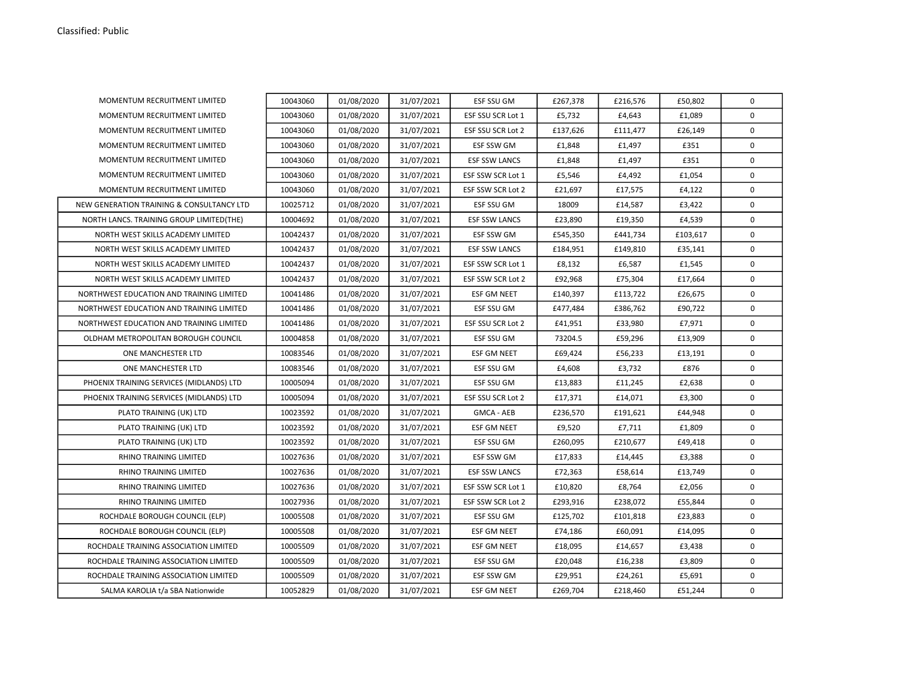| MOMENTUM RECRUITMENT LIMITED              | 10043060 | 01/08/2020 | 31/07/2021 | ESF SSU GM           | £267,378 | £216,576 | £50,802  | 0           |
|-------------------------------------------|----------|------------|------------|----------------------|----------|----------|----------|-------------|
| MOMENTUM RECRUITMENT LIMITED              | 10043060 | 01/08/2020 | 31/07/2021 | ESF SSU SCR Lot 1    | £5,732   | £4,643   | £1,089   | 0           |
| MOMENTUM RECRUITMENT LIMITED              | 10043060 | 01/08/2020 | 31/07/2021 | ESF SSU SCR Lot 2    | £137,626 | £111,477 | £26,149  | 0           |
| MOMENTUM RECRUITMENT LIMITED              | 10043060 | 01/08/2020 | 31/07/2021 | ESF SSW GM           | £1,848   | £1,497   | £351     | 0           |
| MOMENTUM RECRUITMENT LIMITED              | 10043060 | 01/08/2020 | 31/07/2021 | <b>ESF SSW LANCS</b> | £1,848   | £1,497   | £351     | 0           |
| MOMENTUM RECRUITMENT LIMITED              | 10043060 | 01/08/2020 | 31/07/2021 | ESF SSW SCR Lot 1    | £5,546   | £4,492   | £1,054   | $\mathsf 0$ |
| MOMENTUM RECRUITMENT LIMITED              | 10043060 | 01/08/2020 | 31/07/2021 | ESF SSW SCR Lot 2    | £21,697  | £17,575  | £4,122   | $\mathbf 0$ |
| NEW GENERATION TRAINING & CONSULTANCY LTD | 10025712 | 01/08/2020 | 31/07/2021 | ESF SSU GM           | 18009    | £14,587  | £3,422   | $\mathbf 0$ |
| NORTH LANCS. TRAINING GROUP LIMITED (THE) | 10004692 | 01/08/2020 | 31/07/2021 | <b>ESF SSW LANCS</b> | £23,890  | £19,350  | £4,539   | 0           |
| NORTH WEST SKILLS ACADEMY LIMITED         | 10042437 | 01/08/2020 | 31/07/2021 | <b>ESF SSW GM</b>    | £545,350 | £441,734 | £103,617 | $\mathbf 0$ |
| NORTH WEST SKILLS ACADEMY LIMITED         | 10042437 | 01/08/2020 | 31/07/2021 | <b>ESF SSW LANCS</b> | £184,951 | £149,810 | £35,141  | $\mathbf 0$ |
| NORTH WEST SKILLS ACADEMY LIMITED         | 10042437 | 01/08/2020 | 31/07/2021 | ESF SSW SCR Lot 1    | £8,132   | £6,587   | £1,545   | 0           |
| NORTH WEST SKILLS ACADEMY LIMITED         | 10042437 | 01/08/2020 | 31/07/2021 | ESF SSW SCR Lot 2    | £92,968  | £75,304  | £17,664  | $\mathbf 0$ |
| NORTHWEST EDUCATION AND TRAINING LIMITED  | 10041486 | 01/08/2020 | 31/07/2021 | <b>ESF GM NEET</b>   | £140,397 | £113,722 | £26,675  | 0           |
| NORTHWEST EDUCATION AND TRAINING LIMITED  | 10041486 | 01/08/2020 | 31/07/2021 | ESF SSU GM           | £477,484 | £386,762 | £90,722  | 0           |
| NORTHWEST EDUCATION AND TRAINING LIMITED  | 10041486 | 01/08/2020 | 31/07/2021 | ESF SSU SCR Lot 2    | £41,951  | £33,980  | £7,971   | 0           |
| OLDHAM METROPOLITAN BOROUGH COUNCIL       | 10004858 | 01/08/2020 | 31/07/2021 | ESF SSU GM           | 73204.5  | £59,296  | £13,909  | 0           |
| ONE MANCHESTER LTD                        | 10083546 | 01/08/2020 | 31/07/2021 | <b>ESF GM NEET</b>   | £69,424  | £56,233  | £13,191  | 0           |
| ONE MANCHESTER LTD                        | 10083546 | 01/08/2020 | 31/07/2021 | ESF SSU GM           | £4,608   | £3,732   | £876     | 0           |
| PHOENIX TRAINING SERVICES (MIDLANDS) LTD  | 10005094 | 01/08/2020 | 31/07/2021 | <b>ESF SSU GM</b>    | £13,883  | £11,245  | £2,638   | $\mathbf 0$ |
| PHOENIX TRAINING SERVICES (MIDLANDS) LTD  | 10005094 | 01/08/2020 | 31/07/2021 | ESF SSU SCR Lot 2    | £17,371  | £14,071  | £3,300   | $\mathbf 0$ |
| PLATO TRAINING (UK) LTD                   | 10023592 | 01/08/2020 | 31/07/2021 | <b>GMCA - AEB</b>    | £236,570 | £191,621 | £44,948  | $\mathbf 0$ |
| PLATO TRAINING (UK) LTD                   | 10023592 | 01/08/2020 | 31/07/2021 | <b>ESF GM NEET</b>   | £9,520   | £7,711   | £1,809   | $\mathsf 0$ |
| PLATO TRAINING (UK) LTD                   | 10023592 | 01/08/2020 | 31/07/2021 | ESF SSU GM           | £260,095 | £210,677 | £49,418  | 0           |
| RHINO TRAINING LIMITED                    | 10027636 | 01/08/2020 | 31/07/2021 | ESF SSW GM           | £17,833  | £14,445  | £3,388   | 0           |
| RHINO TRAINING LIMITED                    | 10027636 | 01/08/2020 | 31/07/2021 | <b>ESF SSW LANCS</b> | £72,363  | £58,614  | £13,749  | 0           |
| <b>RHINO TRAINING LIMITED</b>             | 10027636 | 01/08/2020 | 31/07/2021 | ESF SSW SCR Lot 1    | £10,820  | £8,764   | £2,056   | 0           |
| RHINO TRAINING LIMITED                    | 10027936 | 01/08/2020 | 31/07/2021 | ESF SSW SCR Lot 2    | £293,916 | £238,072 | £55,844  | 0           |
| ROCHDALE BOROUGH COUNCIL (ELP)            | 10005508 | 01/08/2020 | 31/07/2021 | ESF SSU GM           | £125,702 | £101,818 | £23,883  | 0           |
| ROCHDALE BOROUGH COUNCIL (ELP)            | 10005508 | 01/08/2020 | 31/07/2021 | <b>ESF GM NEET</b>   | £74,186  | £60,091  | £14,095  | 0           |
| ROCHDALE TRAINING ASSOCIATION LIMITED     | 10005509 | 01/08/2020 | 31/07/2021 | ESF GM NEET          | £18,095  | £14,657  | £3,438   | 0           |
| ROCHDALE TRAINING ASSOCIATION LIMITED     | 10005509 | 01/08/2020 | 31/07/2021 | ESF SSU GM           | £20,048  | £16,238  | £3,809   | $\mathbf 0$ |
| ROCHDALE TRAINING ASSOCIATION LIMITED     | 10005509 | 01/08/2020 | 31/07/2021 | <b>ESF SSW GM</b>    | £29,951  | £24,261  | £5,691   | $\mathbf 0$ |
| SALMA KAROLIA t/a SBA Nationwide          | 10052829 | 01/08/2020 | 31/07/2021 | <b>ESF GM NEET</b>   | £269,704 | £218,460 | £51,244  | $\mathbf 0$ |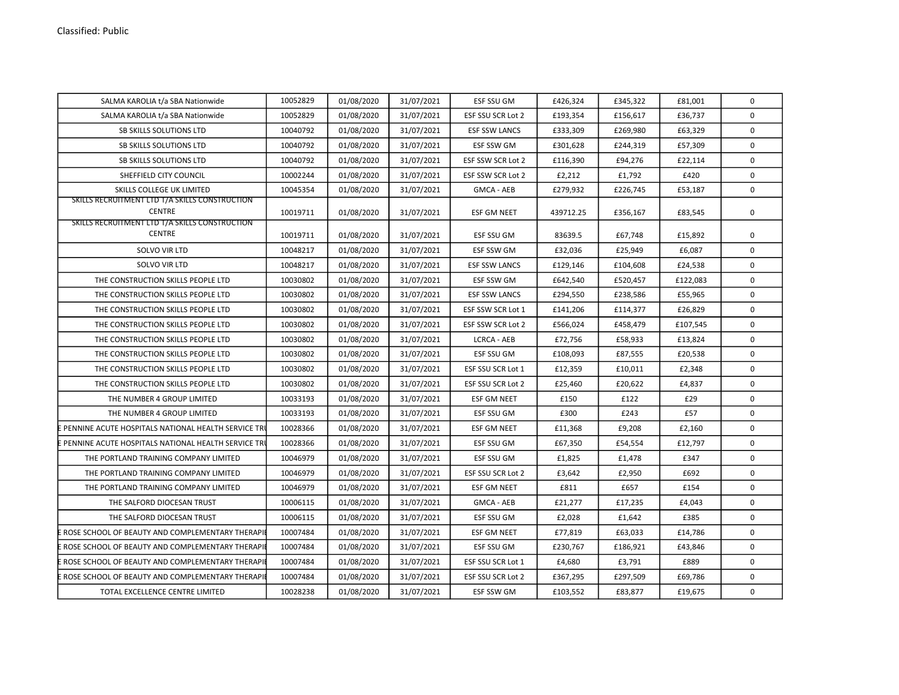| SALMA KAROLIA t/a SBA Nationwide                                | 10052829 | 01/08/2020 | 31/07/2021 | ESF SSU GM           | £426,324  | £345,322 | £81,001  | 0            |
|-----------------------------------------------------------------|----------|------------|------------|----------------------|-----------|----------|----------|--------------|
| SALMA KAROLIA t/a SBA Nationwide                                | 10052829 | 01/08/2020 | 31/07/2021 | ESF SSU SCR Lot 2    | £193,354  | £156,617 | £36,737  | 0            |
| <b>SB SKILLS SOLUTIONS LTD</b>                                  | 10040792 | 01/08/2020 | 31/07/2021 | <b>ESF SSW LANCS</b> | £333,309  | £269,980 | £63,329  | $\mathbf 0$  |
| SB SKILLS SOLUTIONS LTD                                         | 10040792 | 01/08/2020 | 31/07/2021 | ESF SSW GM           | £301,628  | £244,319 | £57,309  | $\mathbf 0$  |
| SB SKILLS SOLUTIONS LTD                                         | 10040792 | 01/08/2020 | 31/07/2021 | ESF SSW SCR Lot 2    | £116,390  | £94,276  | £22,114  | $\mathbf 0$  |
| SHEFFIELD CITY COUNCIL                                          | 10002244 | 01/08/2020 | 31/07/2021 | ESF SSW SCR Lot 2    | £2,212    | £1,792   | £420     | $\mathsf{o}$ |
| SKILLS COLLEGE UK LIMITED                                       | 10045354 | 01/08/2020 | 31/07/2021 | <b>GMCA - AEB</b>    | £279,932  | £226,745 | £53,187  | 0            |
| SKILLS RECRUITMENT LTD T/A SKILLS CONSTRUCTION<br><b>CENTRE</b> | 10019711 | 01/08/2020 | 31/07/2021 | <b>ESF GM NEET</b>   | 439712.25 | £356,167 | £83,545  | 0            |
| SKILLS RECRUITMENT LTD T/A SKILLS CONSTRUCTION<br><b>CENTRE</b> | 10019711 | 01/08/2020 | 31/07/2021 | ESF SSU GM           | 83639.5   | £67,748  | £15,892  | 0            |
| <b>SOLVO VIR LTD</b>                                            | 10048217 | 01/08/2020 | 31/07/2021 | <b>ESF SSW GM</b>    | £32,036   | £25,949  | £6,087   | $\mathbf 0$  |
| SOLVO VIR LTD                                                   | 10048217 | 01/08/2020 | 31/07/2021 | <b>ESF SSW LANCS</b> | £129,146  | £104,608 | £24,538  | 0            |
| THE CONSTRUCTION SKILLS PEOPLE LTD                              | 10030802 | 01/08/2020 | 31/07/2021 | ESF SSW GM           | £642,540  | £520,457 | £122,083 | $\mathbf 0$  |
| THE CONSTRUCTION SKILLS PEOPLE LTD                              | 10030802 | 01/08/2020 | 31/07/2021 | <b>ESF SSW LANCS</b> | £294,550  | £238,586 | £55,965  | 0            |
| THE CONSTRUCTION SKILLS PEOPLE LTD                              | 10030802 | 01/08/2020 | 31/07/2021 | ESF SSW SCR Lot 1    | £141,206  | £114,377 | £26,829  | $\mathbf 0$  |
| THE CONSTRUCTION SKILLS PEOPLE LTD                              | 10030802 | 01/08/2020 | 31/07/2021 | ESF SSW SCR Lot 2    | £566,024  | £458,479 | £107,545 | $\mathbf 0$  |
| THE CONSTRUCTION SKILLS PEOPLE LTD                              | 10030802 | 01/08/2020 | 31/07/2021 | <b>LCRCA - AEB</b>   | £72,756   | £58,933  | £13,824  | $\mathbf 0$  |
| THE CONSTRUCTION SKILLS PEOPLE LTD                              | 10030802 | 01/08/2020 | 31/07/2021 | ESF SSU GM           | £108,093  | £87,555  | £20,538  | 0            |
| THE CONSTRUCTION SKILLS PEOPLE LTD                              | 10030802 | 01/08/2020 | 31/07/2021 | ESF SSU SCR Lot 1    | £12,359   | £10,011  | £2,348   | 0            |
| THE CONSTRUCTION SKILLS PEOPLE LTD                              | 10030802 | 01/08/2020 | 31/07/2021 | ESF SSU SCR Lot 2    | £25,460   | £20,622  | £4,837   | $\mathbf 0$  |
| THE NUMBER 4 GROUP LIMITED                                      | 10033193 | 01/08/2020 | 31/07/2021 | <b>ESF GM NEET</b>   | £150      | £122     | £29      | $\mathbf 0$  |
| THE NUMBER 4 GROUP LIMITED                                      | 10033193 | 01/08/2020 | 31/07/2021 | ESF SSU GM           | £300      | £243     | £57      | $\mathbf 0$  |
| <b>E PENNINE ACUTE HOSPITALS NATIONAL HEALTH SERVICE TRI</b>    | 10028366 | 01/08/2020 | 31/07/2021 | <b>ESF GM NEET</b>   | £11,368   | £9,208   | £2,160   | $\mathsf 0$  |
| EPENNINE ACUTE HOSPITALS NATIONAL HEALTH SERVICE TRI            | 10028366 | 01/08/2020 | 31/07/2021 | ESF SSU GM           | £67,350   | £54,554  | £12,797  | 0            |
| THE PORTLAND TRAINING COMPANY LIMITED                           | 10046979 | 01/08/2020 | 31/07/2021 | ESF SSU GM           | £1,825    | £1,478   | £347     | $\mathbf 0$  |
| THE PORTLAND TRAINING COMPANY LIMITED                           | 10046979 | 01/08/2020 | 31/07/2021 | ESF SSU SCR Lot 2    | £3,642    | £2,950   | £692     | $\mathbf 0$  |
| THE PORTLAND TRAINING COMPANY LIMITED                           | 10046979 | 01/08/2020 | 31/07/2021 | <b>ESF GM NEET</b>   | £811      | £657     | £154     | $\mathbf 0$  |
| THE SALFORD DIOCESAN TRUST                                      | 10006115 | 01/08/2020 | 31/07/2021 | <b>GMCA - AEB</b>    | £21,277   | £17,235  | £4,043   | $\mathbf 0$  |
| THE SALFORD DIOCESAN TRUST                                      | 10006115 | 01/08/2020 | 31/07/2021 | ESF SSU GM           | £2,028    | £1,642   | £385     | $\mathsf{o}$ |
| E ROSE SCHOOL OF BEAUTY AND COMPLEMENTARY THERAPI               | 10007484 | 01/08/2020 | 31/07/2021 | ESF GM NEET          | £77,819   | £63,033  | £14,786  | 0            |
| EROSE SCHOOL OF BEAUTY AND COMPLEMENTARY THERAPI                | 10007484 | 01/08/2020 | 31/07/2021 | ESF SSU GM           | £230,767  | £186,921 | £43,846  | 0            |
| ROSE SCHOOL OF BEAUTY AND COMPLEMENTARY THERAPI                 | 10007484 | 01/08/2020 | 31/07/2021 | ESF SSU SCR Lot 1    | £4,680    | £3,791   | £889     | 0            |
| ROSE SCHOOL OF BEAUTY AND COMPLEMENTARY THERAPI                 | 10007484 | 01/08/2020 | 31/07/2021 | ESF SSU SCR Lot 2    | £367,295  | £297,509 | £69,786  | $\mathbf 0$  |
| TOTAL EXCELLENCE CENTRE LIMITED                                 | 10028238 | 01/08/2020 | 31/07/2021 | ESF SSW GM           | £103,552  | £83,877  | £19,675  | $\mathbf 0$  |